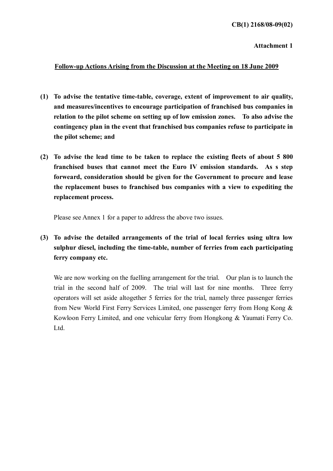Attachment 1

## Follow-up Actions Arising from the Discussion at the Meeting on 18 June 2009

- (1) To advise the tentative time-table, coverage, extent of improvement to air quality, and measures/incentives to encourage participation of franchised bus companies in relation to the pilot scheme on setting up of low emission zones. To also advise the contingency plan in the event that franchised bus companies refuse to participate in the pilot scheme; and
- (2) To advise the lead time to be taken to replace the existing fleets of about 5 800 franchised buses that cannot meet the Euro IV emission standards. As s step forweard, consideration should be given for the Government to procure and lease the replacement buses to franchised bus companies with a view to expediting the replacement process.

Please see Annex 1 for a paper to address the above two issues.

(3) To advise the detailed arrangements of the trial of local ferries using ultra low sulphur diesel, including the time-table, number of ferries from each participating ferry company etc.

We are now working on the fuelling arrangement for the trial. Our plan is to launch the trial in the second half of 2009. The trial will last for nine months. Three ferry operators will set aside altogether 5 ferries for the trial, namely three passenger ferries from New World First Ferry Services Limited, one passenger ferry from Hong Kong & Kowloon Ferry Limited, and one vehicular ferry from Hongkong & Yaumati Ferry Co. Ltd.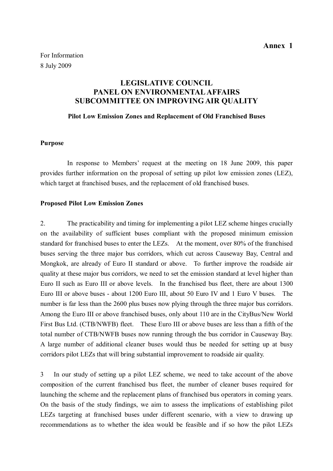# LEGISLATIVE COUNCIL PANEL ON ENVIRONMENTAL AFFAIRS SUBCOMMITTEE ON IMPROVING AIR QUALITY

### Pilot Low Emission Zones and Replacement of Old Franchised Buses

### Purpose

 In response to Members' request at the meeting on 18 June 2009, this paper provides further information on the proposal of setting up pilot low emission zones (LEZ), which target at franchised buses, and the replacement of old franchised buses.

#### Proposed Pilot Low Emission Zones

2. The practicability and timing for implementing a pilot LEZ scheme hinges crucially on the availability of sufficient buses compliant with the proposed minimum emission standard for franchised buses to enter the LEZs. At the moment, over 80% of the franchised buses serving the three major bus corridors, which cut across Causeway Bay, Central and Mongkok, are already of Euro II standard or above. To further improve the roadside air quality at these major bus corridors, we need to set the emission standard at level higher than Euro II such as Euro III or above levels. In the franchised bus fleet, there are about 1300 Euro III or above buses - about 1200 Euro III, about 50 Euro IV and 1 Euro V buses. The number is far less than the 2600 plus buses now plying through the three major bus corridors. Among the Euro III or above franchised buses, only about 110 are in the CityBus/New World First Bus Ltd. (CTB/NWFB) fleet. These Euro III or above buses are less than a fifth of the total number of CTB/NWFB buses now running through the bus corridor in Causeway Bay. A large number of additional cleaner buses would thus be needed for setting up at busy corridors pilot LEZs that will bring substantial improvement to roadside air quality.

3 In our study of setting up a pilot LEZ scheme, we need to take account of the above composition of the current franchised bus fleet, the number of cleaner buses required for launching the scheme and the replacement plans of franchised bus operators in coming years. On the basis of the study findings, we aim to assess the implications of establishing pilot LEZs targeting at franchised buses under different scenario, with a view to drawing up recommendations as to whether the idea would be feasible and if so how the pilot LEZs